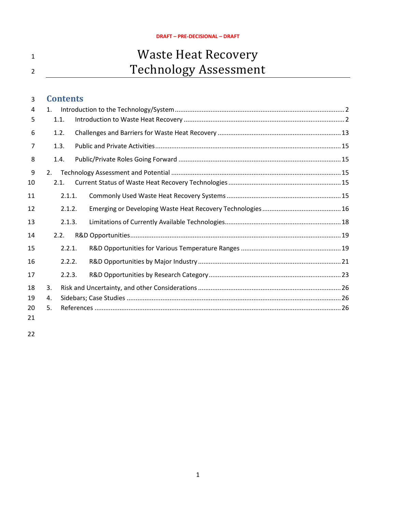# 1 Waste Heat Recovery <sup>2</sup> Technology Assessment

## **Contents**

| 4  | 1 <sub>1</sub> |        |  |  |  |  |  |
|----|----------------|--------|--|--|--|--|--|
| 5  | 1.1.           |        |  |  |  |  |  |
| 6  | 1.2.           |        |  |  |  |  |  |
| 7  | 1.3.           |        |  |  |  |  |  |
| 8  | 1.4.           |        |  |  |  |  |  |
| 9  | 2.             |        |  |  |  |  |  |
| 10 | 2.1.           |        |  |  |  |  |  |
| 11 |                | 2.1.1. |  |  |  |  |  |
| 12 |                | 2.1.2. |  |  |  |  |  |
| 13 |                | 2.1.3. |  |  |  |  |  |
| 14 | 2.2.           |        |  |  |  |  |  |
| 15 |                | 2.2.1. |  |  |  |  |  |
| 16 |                | 2.2.2. |  |  |  |  |  |
| 17 |                | 2.2.3. |  |  |  |  |  |
| 18 | 3.             |        |  |  |  |  |  |
| 19 | 4.             |        |  |  |  |  |  |
| 20 | 5.             |        |  |  |  |  |  |
| 21 |                |        |  |  |  |  |  |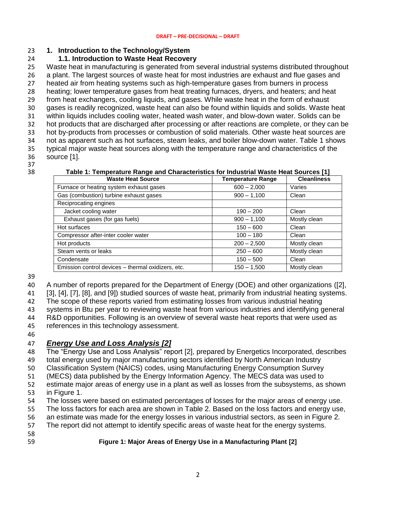### <span id="page-1-0"></span>**1. Introduction to the Technology/System**

### <span id="page-1-1"></span>**1.1. Introduction to Waste Heat Recovery**

 Waste heat in manufacturing is generated from several industrial systems distributed throughout a plant. The largest sources of waste heat for most industries are exhaust and flue gases and heated air from heating systems such as high-temperature gases from burners in process heating; lower temperature gases from heat treating furnaces, dryers, and heaters; and heat from heat exchangers, cooling liquids, and gases. While waste heat in the form of exhaust gases is readily recognized, waste heat can also be found within liquids and solids. Waste heat within liquids includes cooling water, heated wash water, and blow-down water. Solids can be hot products that are discharged after processing or after reactions are complete, or they can be hot by-products from processes or combustion of solid materials. Other waste heat sources are not as apparent such as hot surfaces, steam leaks, and boiler blow-down water. Table 1 shows typical major waste heat sources along with the temperature range and characteristics of the source [1].

# 37<br>38

#### **Table 1: Temperature Range and Characteristics for Industrial Waste Heat Sources [1] Temperature Range** Furnace or heating system exhaust gases  $\begin{array}{|c|c|c|c|c|c|c|c|c|} \hline \text{G00} - 2,000 & & \text{Varies} \ \hline \end{array}$ Gas (combustion) turbine exhaust gases 900 – 1,100 Clean Reciprocating engines Jacket cooling water 190 – 200 Clean Exhaust gases (for gas fuels) 900 – 1,100 Mostly clean Hot surfaces and the contract of the contract of the contract of the contract of the clean of the clean of the clean of the clean of the clean of the clean of the clean of the clean of the clean of the clean of the clean o Compressor after-inter cooler water 100 – 180 Clean Hot products and the contract of the 200 – 2,500 Mostly clean Steam vents or leaks 250 – 600 Mostly clean Condensate 150 – 500 Clean Emission control devices – thermal oxidizers, etc. 150 – 1,500 Mostly clean

A number of reports prepared for the Department of Energy (DOE) and other organizations ([2],

[3], [4], [7], [8], and [9]) studied sources of waste heat, primarily from industrial heating systems.

The scope of these reports varied from estimating losses from various industrial heating

systems in Btu per year to reviewing waste heat from various industries and identifying general

 R&D opportunities. Following is an overview of several waste heat reports that were used as references in this technology assessment.

### *Energy Use and Loss Analysis [2]*

 The "Energy Use and Loss Analysis" report [2], prepared by Energetics Incorporated, describes total energy used by major manufacturing sectors identified by North American Industry

Classification System (NAICS) codes, using Manufacturing Energy Consumption Survey

(MECS) data published by the Energy Information Agency. The MECS data was used to

- estimate major areas of energy use in a plant as well as losses from the subsystems, as shown
- in Figure 1.
- The losses were based on estimated percentages of losses for the major areas of energy use.

The loss factors for each area are shown in Table 2. Based on the loss factors and energy use,

an estimate was made for the energy losses in various industrial sectors, as seen in Figure 2.

The report did not attempt to identify specific areas of waste heat for the energy systems.

- 
- 

#### **Figure 1: Major Areas of Energy Use in a Manufacturing Plant [2]**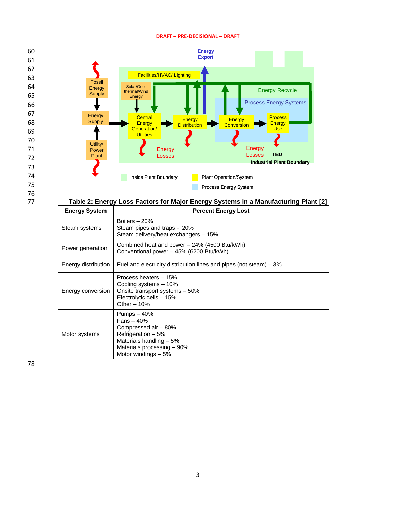

## 75 76

#### 77 **Table 2: Energy Loss Factors for Major Energy Systems in a Manufacturing Plant [2]**

| <b>Energy System</b> | <b>Percent Energy Lost</b>                                                                                                                                 |
|----------------------|------------------------------------------------------------------------------------------------------------------------------------------------------------|
| Steam systems        | Boilers $-20%$<br>Steam pipes and traps - 20%<br>Steam delivery/heat exchangers - 15%                                                                      |
| Power generation     | Combined heat and power - 24% (4500 Btu/kWh)<br>Conventional power - 45% (6200 Btu/kWh)                                                                    |
| Energy distribution  | Fuel and electricity distribution lines and pipes (not steam) $-3\%$                                                                                       |
| Energy conversion    | Process heaters - 15%<br>Cooling systems - 10%<br>Onsite transport systems - 50%<br>Electrolytic cells - 15%<br>Other $-10%$                               |
| Motor systems        | Pumps $-40%$<br>$Fans - 40%$<br>Compressed air - 80%<br>Refrigeration - 5%<br>Materials handling - 5%<br>Materials processing - 90%<br>Motor windings - 5% |

78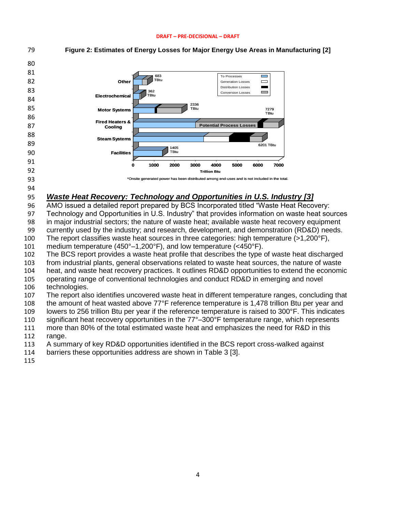

### AMO issued a detailed report prepared by BCS Incorporated titled "Waste Heat Recovery: Technology and Opportunities in U.S. Industry" that provides information on waste heat sources

in major industrial sectors; the nature of waste heat; available waste heat recovery equipment

currently used by the industry; and research, development, and demonstration (RD&D) needs.

The report classifies waste heat sources in three categories: high temperature (>1,200°F),

medium temperature (450°–1,200°F), and low temperature (<450°F).

The BCS report provides a waste heat profile that describes the type of waste heat discharged

from industrial plants, general observations related to waste heat sources, the nature of waste

 heat, and waste heat recovery practices. It outlines RD&D opportunities to extend the economic operating range of conventional technologies and conduct RD&D in emerging and novel technologies.

The report also identifies uncovered waste heat in different temperature ranges, concluding that

the amount of heat wasted above 77°F reference temperature is 1,478 trillion Btu per year and

lowers to 256 trillion Btu per year if the reference temperature is raised to 300°F. This indicates

110 significant heat recovery opportunities in the 77°–300°F temperature range, which represents

more than 80% of the total estimated waste heat and emphasizes the need for R&D in this

range.

A summary of key RD&D opportunities identified in the BCS report cross-walked against

- barriers these opportunities address are shown in Table 3 [3].
-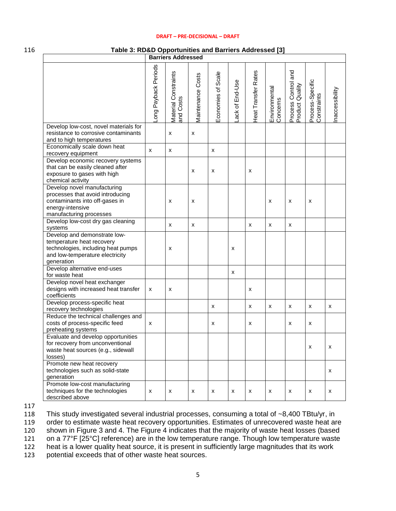#### 116 **Table 3: RD&D Opportunities and Barriers Addressed [3]**

|                                                                                                                                                  |                     | <b>Barriers Addressed</b>         |                    |                    |                |                     |                           |                                        |                                 |                |
|--------------------------------------------------------------------------------------------------------------------------------------------------|---------------------|-----------------------------------|--------------------|--------------------|----------------|---------------------|---------------------------|----------------------------------------|---------------------------------|----------------|
|                                                                                                                                                  | ong Payback Periods | Material Constraints<br>and Costs | Maintenance Costs  | Economies of Scale | ack of End-Use | Heat Transfer Rates | Environmental<br>Concerns | Process Control and<br>Product Quality | Process-Specific<br>Constraints | naccessibility |
| Develop low-cost, novel materials for<br>resistance to corrosive contaminants<br>and to high temperatures                                        |                     | x                                 | $\pmb{\mathsf{x}}$ |                    |                |                     |                           |                                        |                                 |                |
| Economically scale down heat<br>recovery equipment                                                                                               | X                   | X                                 |                    | X                  |                |                     |                           |                                        |                                 |                |
| Develop economic recovery systems<br>that can be easily cleaned after<br>exposure to gases with high<br>chemical activity                        |                     |                                   | x                  | х                  |                | x                   |                           |                                        |                                 |                |
| Develop novel manufacturing<br>processes that avoid introducing<br>contaminants into off-gases in<br>energy-intensive<br>manufacturing processes |                     | x                                 | x                  |                    |                |                     | x                         | x                                      | x                               |                |
| Develop low-cost dry gas cleaning<br>systems                                                                                                     |                     | X                                 | x                  |                    |                | x                   | x                         | x                                      |                                 |                |
| Develop and demonstrate low-<br>temperature heat recovery<br>technologies, including heat pumps<br>and low-temperature electricity<br>generation |                     | x                                 |                    |                    | х              |                     |                           |                                        |                                 |                |
| Develop alternative end-uses<br>for waste heat                                                                                                   |                     |                                   |                    |                    | x              |                     |                           |                                        |                                 |                |
| Develop novel heat exchanger<br>designs with increased heat transfer<br>coefficients                                                             | x                   | x                                 |                    |                    |                | x                   |                           |                                        |                                 |                |
| Develop process-specific heat<br>recovery technologies                                                                                           |                     |                                   |                    | х                  |                | x                   | x                         | x                                      | x                               | x              |
| Reduce the technical challenges and<br>costs of process-specific feed<br>preheating systems                                                      | x                   |                                   |                    | х                  |                | x                   |                           | x                                      | X                               |                |
| Evaluate and develop opportunities<br>for recovery from unconventional<br>waste heat sources (e.g., sidewall<br>losses)                          |                     |                                   |                    |                    |                |                     |                           |                                        | $\pmb{\times}$                  | x              |
| Promote new heat recovery<br>technologies such as solid-state<br>generation                                                                      |                     |                                   |                    |                    |                |                     |                           |                                        |                                 | x              |
| Promote low-cost manufacturing<br>techniques for the technologies<br>described above                                                             | x                   | X                                 | x                  | X                  | x              | x                   | x                         | x                                      | x                               | x              |

117

118 This study investigated several industrial processes, consuming a total of ~8,400 TBtu/yr, in<br>119 order to estimate waste heat recovery opportunities. Estimates of unrecovered waste heat are

order to estimate waste heat recovery opportunities. Estimates of unrecovered waste heat are

120 shown in Figure 3 and 4. The Figure 4 indicates that the majority of waste heat losses (based 121 on a 77°F [25°C] reference) are in the low temperature range. Though low temperature waste

121 on a 77°F [25°C] reference) are in the low temperature range. Though low temperature waste<br>122 heat is a lower quality heat source, it is present in sufficiently large magnitudes that its work heat is a lower quality heat source, it is present in sufficiently large magnitudes that its work

123 potential exceeds that of other waste heat sources.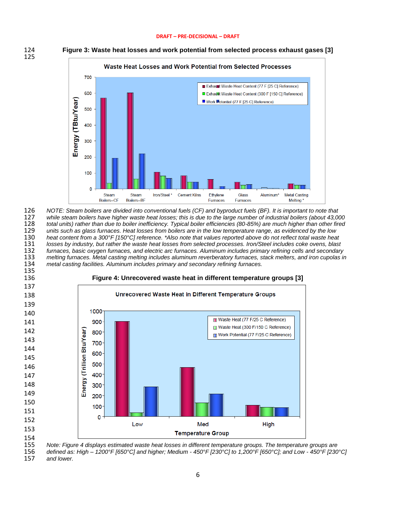



 *NOTE: Steam boilers are divided into conventional fuels (CF) and byproduct fuels (BF). It is important to note that while steam boilers have higher waste heat losses; this is due to the large number of industrial boilers (about 43,000 total units) rather than due to boiler inefficiency. Typical boiler efficiencies (80-85%) are much higher than other fired units such as glass furnaces. Heat losses from boilers are in the low temperature range, as evidenced by the low heat content from a 300°F [150°C] reference. \*Also note that values reported above do not reflect total waste heat losses by industry, but rather the waste heat losses from selected processes. Iron/Steel includes coke ovens, blast furnaces, basic oxygen furnaces, and electric arc furnaces. Aluminum includes primary refining cells and secondary melting furnaces. Metal casting melting includes aluminum reverberatory furnaces, stack melters, and iron cupolas in metal casting facilities. Aluminum includes primary and secondary refining furnaces.*



 *Note: Figure 4 displays estimated waste heat losses in different temperature groups. The temperature groups are defined as: High – 1200°F [650°C] and higher; Medium - 450°F [230°C] to 1,200°F [650°C]; and Low - 450°F [230°C]* 

and lower.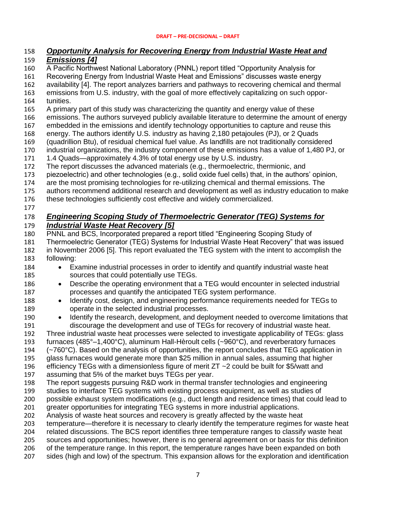### *Opportunity Analysis for Recovering Energy from Industrial Waste Heat and*

### *Emissions [4]*

A Pacific Northwest National Laboratory (PNNL) report titled "Opportunity Analysis for

Recovering Energy from Industrial Waste Heat and Emissions" discusses waste energy

availability [4]. The report analyzes barriers and pathways to recovering chemical and thermal

 emissions from U.S. industry, with the goal of more effectively capitalizing on such oppor-tunities.

A primary part of this study was characterizing the quantity and energy value of these

emissions. The authors surveyed publicly available literature to determine the amount of energy

embedded in the emissions and identify technology opportunities to capture and reuse this

energy. The authors identify U.S. industry as having 2,180 petajoules (PJ), or 2 Quads

- (quadrillion Btu), of residual chemical fuel value. As landfills are not traditionally considered
- industrial organizations, the industry component of these emissions has a value of 1,480 PJ, or
- 1.4 Quads—approximately 4.3% of total energy use by U.S. industry.
- The report discusses the advanced materials (e.g., thermoelectric, thermionic, and
- piezoelectric) and other technologies (e.g., solid oxide fuel cells) that, in the authors' opinion,
- are the most promising technologies for re-utilizing chemical and thermal emissions. The
- authors recommend additional research and development as well as industry education to make
- these technologies sufficiently cost effective and widely commercialized.
- 

### *Engineering Scoping Study of Thermoelectric Generator (TEG) Systems for Industrial Waste Heat Recovery [5]*

- PNNL and BCS, Incorporated prepared a report titled "Engineering Scoping Study of Thermoelectric Generator (TEG) Systems for Industrial Waste Heat Recovery" that was issued in November 2006 [5]. This report evaluated the TEG system with the intent to accomplish the following:
- Examine industrial processes in order to identify and quantify industrial waste heat sources that could potentially use TEGs.
- 186 Describe the operating environment that a TEG would encounter in selected industrial processes and quantify the anticipated TEG system performance.
- 188 Identify cost, design, and engineering performance requirements needed for TEGs to operate in the selected industrial processes.
- 190 Identify the research, development, and deployment needed to overcome limitations that discourage the development and use of TEGs for recovery of industrial waste heat.

 Three industrial waste heat processes were selected to investigate applicability of TEGs: glass furnaces (485°–1,400°C), aluminum Hall-Hèroult cells (~960°C), and reverberatory furnaces (~760°C). Based on the analysis of opportunities, the report concludes that TEG application in

glass furnaces would generate more than \$25 million in annual sales, assuming that higher

efficiency TEGs with a dimensionless figure of merit ZT ~2 could be built for \$5/watt and

- assuming that 5% of the market buys TEGs per year.
- The report suggests pursuing R&D work in thermal transfer technologies and engineering
- studies to interface TEG systems with existing process equipment, as well as studies of

 possible exhaust system modifications (e.g., duct length and residence times) that could lead to greater opportunities for integrating TEG systems in more industrial applications.

- Analysis of waste heat sources and recovery is greatly affected by the waste heat
- temperature—therefore it is necessary to clearly identify the temperature regimes for waste heat

related discussions. The BCS report identifies three temperature ranges to classify waste heat

sources and opportunities; however, there is no general agreement on or basis for this definition

 of the temperature range. In this report, the temperature ranges have been expanded on both sides (high and low) of the spectrum. This expansion allows for the exploration and identification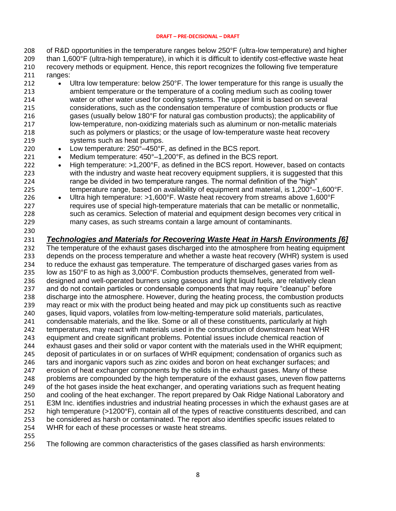of R&D opportunities in the temperature ranges below 250°F (ultra-low temperature) and higher than 1,600°F (ultra-high temperature), in which it is difficult to identify cost-effective waste heat recovery methods or equipment. Hence, this report recognizes the following five temperature ranges:

- 212 Ultra low temperature: below 250°F. The lower temperature for this range is usually the ambient temperature or the temperature of a cooling medium such as cooling tower water or other water used for cooling systems. The upper limit is based on several considerations, such as the condensation temperature of combustion products or flue gases (usually below 180°F for natural gas combustion products); the applicability of low-temperature, non-oxidizing materials such as aluminum or non-metallic materials such as polymers or plastics; or the usage of low-temperature waste heat recovery systems such as heat pumps.
- 220 Low temperature: 250°–450°F, as defined in the BCS report.
- 221 Medium temperature: 450°–1,200°F, as defined in the BCS report.
- 222 High temperature: >1,200°F, as defined in the BCS report. However, based on contacts with the industry and waste heat recovery equipment suppliers, it is suggested that this range be divided in two temperature ranges. The normal definition of the "high" temperature range, based on availability of equipment and material, is 1,200°–1,600°F.
- 226 Ultra high temperature: >1,600°F. Waste heat recovery from streams above 1,600°F requires use of special high-temperature materials that can be metallic or nonmetallic, such as ceramics. Selection of material and equipment design becomes very critical in many cases, as such streams contain a large amount of contaminants.
- 

*Technologies and Materials for Recovering Waste Heat in Harsh Environments [6]*

232 The temperature of the exhaust gases discharged into the atmosphere from heating equipment depends on the process temperature and whether a waste heat recovery (WHR) system is used to reduce the exhaust gas temperature. The temperature of discharged gases varies from as low as 150°F to as high as 3,000°F. Combustion products themselves, generated from well- designed and well-operated burners using gaseous and light liquid fuels, are relatively clean and do not contain particles or condensable components that may require "cleanup" before discharge into the atmosphere. However, during the heating process, the combustion products may react or mix with the product being heated and may pick up constituents such as reactive gases, liquid vapors, volatiles from low-melting-temperature solid materials, particulates, 241 condensable materials, and the like. Some or all of these constituents, particularly at high<br>242 temperatures, may react with materials used in the construction of downstream heat WHR temperatures, may react with materials used in the construction of downstream heat WHR equipment and create significant problems. Potential issues include chemical reaction of exhaust gases and their solid or vapor content with the materials used in the WHR equipment; deposit of particulates in or on surfaces of WHR equipment; condensation of organics such as 246 tars and inorganic vapors such as zinc oxides and boron on heat exchanger surfaces; and erosion of heat exchanger components by the solids in the exhaust gases. Many of these problems are compounded by the high temperature of the exhaust gases, uneven flow patterns of the hot gases inside the heat exchanger, and operating variations such as frequent heating and cooling of the heat exchanger. The report prepared by Oak Ridge National Laboratory and E3M Inc. identifies industries and industrial heating processes in which the exhaust gases are at high temperature (>1200°F), contain all of the types of reactive constituents described, and can be considered as harsh or contaminated. The report also identifies specific issues related to WHR for each of these processes or waste heat streams.

The following are common characteristics of the gases classified as harsh environments: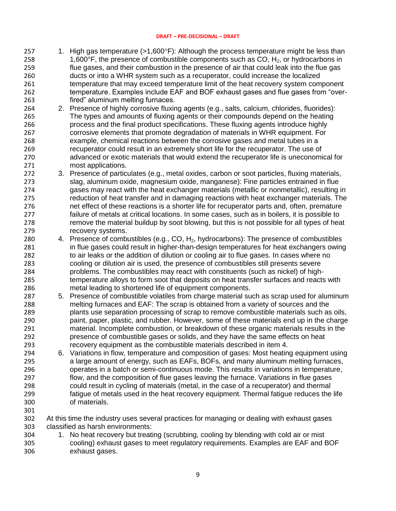- 257 1. High gas temperature  $(>1,600^{\circ}F)$ : Although the process temperature might be less than 258 1,600°F, the presence of combustible components such as  $CO$ ,  $H_2$ , or hydrocarbons in flue gases, and their combustion in the presence of air that could leak into the flue gas ducts or into a WHR system such as a recuperator, could increase the localized **temperature that may exceed temperature limit of the heat recovery system component** 262 temperature. Examples include EAF and BOF exhaust gases and flue gases from "over-fired" aluminum melting furnaces.
- 2. Presence of highly corrosive fluxing agents (e.g., salts, calcium, chlorides, fluorides): The types and amounts of fluxing agents or their compounds depend on the heating process and the final product specifications. These fluxing agents introduce highly corrosive elements that promote degradation of materials in WHR equipment. For example, chemical reactions between the corrosive gases and metal tubes in a recuperator could result in an extremely short life for the recuperator. The use of advanced or exotic materials that would extend the recuperator life is uneconomical for most applications.
- 3. Presence of particulates (e.g., metal oxides, carbon or soot particles, fluxing materials, slag, aluminum oxide, magnesium oxide, manganese): Fine particles entrained in flue gases may react with the heat exchanger materials (metallic or nonmetallic), resulting in reduction of heat transfer and in damaging reactions with heat exchanger materials. The net effect of these reactions is a shorter life for recuperator parts and, often, premature failure of metals at critical locations. In some cases, such as in boilers, it is possible to 278 remove the material buildup by soot blowing, but this is not possible for all types of heat recovery systems.
- 280 4. Presence of combustibles (e.g., CO,  $H_2$ , hydrocarbons): The presence of combustibles 281 in flue gases could result in higher-than-design temperatures for heat exchangers owing 282 to air leaks or the addition of dilution or cooling air to flue gases. In cases where no cooling or dilution air is used, the presence of combustibles still presents severe problems. The combustibles may react with constituents (such as nickel) of high- temperature alloys to form soot that deposits on heat transfer surfaces and reacts with metal leading to shortened life of equipment components.
- 5. Presence of combustible volatiles from charge material such as scrap used for aluminum melting furnaces and EAF: The scrap is obtained from a variety of sources and the plants use separation processing of scrap to remove combustible materials such as oils, paint, paper, plastic, and rubber. However, some of these materials end up in the charge material. Incomplete combustion, or breakdown of these organic materials results in the presence of combustible gases or solids, and they have the same effects on heat recovery equipment as the combustible materials described in item 4.
- 6. Variations in flow, temperature and composition of gases: Most heating equipment using a large amount of energy, such as EAFs, BOFs, and many aluminum melting furnaces, operates in a batch or semi-continuous mode. This results in variations in temperature, flow, and the composition of flue gases leaving the furnace. Variations in flue gases 298 could result in cycling of materials (metal, in the case of a recuperator) and thermal<br>299 fatique of metals used in the heat recovery equipment. Thermal fatique reduces the fatigue of metals used in the heat recovery equipment. Thermal fatigue reduces the life of materials.
- 
- At this time the industry uses several practices for managing or dealing with exhaust gases classified as harsh environments:
- 1. No heat recovery but treating (scrubbing, cooling by blending with cold air or mist cooling) exhaust gases to meet regulatory requirements. Examples are EAF and BOF exhaust gases.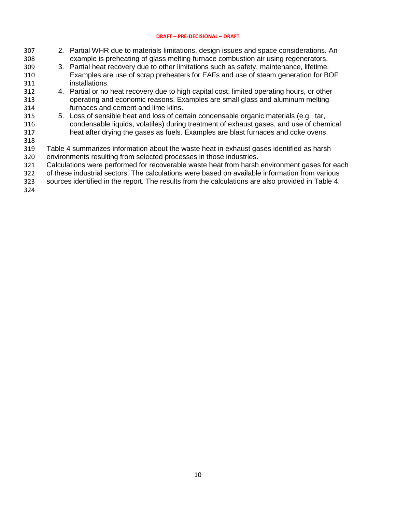- 2. Partial WHR due to materials limitations, design issues and space considerations. An example is preheating of glass melting furnace combustion air using regenerators. 3. Partial heat recovery due to other limitations such as safety, maintenance, lifetime. Examples are use of scrap preheaters for EAFs and use of steam generation for BOF installations. 4. Partial or no heat recovery due to high capital cost, limited operating hours, or other operating and economic reasons. Examples are small glass and aluminum melting furnaces and cement and lime kilns. 5. Loss of sensible heat and loss of certain condensable organic materials (e.g., tar, 316 condensable liquids, volatiles) during treatment of exhaust gases, and use of chemical<br>317 heat after drving the gases as fuels. Examples are blast furnaces and coke ovens. heat after drying the gases as fuels. Examples are blast furnaces and coke ovens. Table 4 summarizes information about the waste heat in exhaust gases identified as harsh environments resulting from selected processes in those industries.
- Calculations were performed for recoverable waste heat from harsh environment gases for each
- of these industrial sectors. The calculations were based on available information from various
- sources identified in the report. The results from the calculations are also provided in Table 4.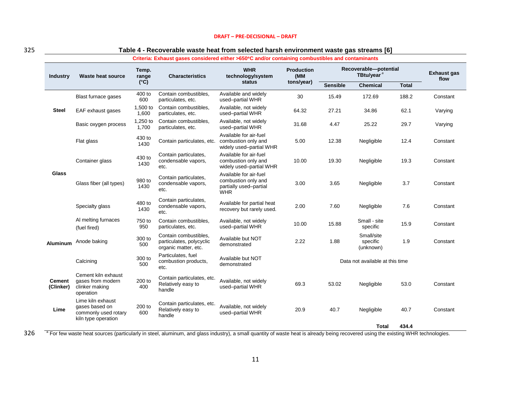|                            | Criteria: Exhaust gases considered either >650°C and/or containing combustibles and contaminants |                   |                                                                           |                                                                                       |                                        |                                                 |                                     |              |                            |
|----------------------------|--------------------------------------------------------------------------------------------------|-------------------|---------------------------------------------------------------------------|---------------------------------------------------------------------------------------|----------------------------------------|-------------------------------------------------|-------------------------------------|--------------|----------------------------|
| <b>Industry</b>            | Waste heat source                                                                                | Temp.<br>range    | <b>Characteristics</b>                                                    | <b>WHR</b><br>technology/system                                                       | <b>Production</b><br>(MM<br>tons/year) | Recoverable-potential<br>TBtu/year <sup>a</sup> |                                     |              | <b>Exhaust gas</b><br>flow |
|                            |                                                                                                  | $(^{\circ}C)$     |                                                                           | status                                                                                |                                        | <b>Sensible</b>                                 | <b>Chemical</b>                     | <b>Total</b> |                            |
|                            | Blast furnace gases                                                                              | 400 to<br>600     | Contain combustibles.<br>particulates, etc.                               | Available and widely<br>used-partial WHR                                              | 30                                     | 15.49                                           | 172.69                              | 188.2        | Constant                   |
| <b>Steel</b>               | EAF exhaust gases                                                                                | 1,500 to<br>1,600 | Contain combustibles,<br>particulates, etc.                               | Available, not widely<br>used-partial WHR                                             | 64.32                                  | 27.21                                           | 34.86                               | 62.1         | Varying                    |
|                            | Basic oxygen process                                                                             | 1,250 to<br>1,700 | Contain combustibles,<br>particulates, etc.                               | Available, not widely<br>used-partial WHR                                             | 31.68                                  | 4.47                                            | 25.22                               | 29.7         | Varying                    |
|                            | Flat glass                                                                                       | 430 to<br>1430    | Contain particulates, etc.                                                | Available for air-fuel<br>combustion only and<br>widely used-partial WHR              | 5.00                                   | 12.38                                           | Negligible                          | 12.4         | Constant                   |
|                            | Container glass                                                                                  | 430 to<br>1430    | Contain particulates,<br>condensable vapors,<br>etc.                      | Available for air-fuel<br>combustion only and<br>widely used-partial WHR              | 10.00                                  | 19.30                                           | Negligible                          | 19.3         | Constant                   |
| Glass                      | Glass fiber (all types)                                                                          | 980 to<br>1430    | Contain particulates,<br>condensable vapors,<br>etc.                      | Available for air-fuel<br>combustion only and<br>partially used-partial<br><b>WHR</b> | 3.00                                   | 3.65                                            | Negligible                          | 3.7          | Constant                   |
|                            | Specialty glass                                                                                  | 480 to<br>1430    | Contain particulates,<br>condensable vapors,<br>etc.                      | Available for partial heat<br>recovery but rarely used.                               | 2.00                                   | 7.60                                            | Negligible                          | 7.6          | Constant                   |
|                            | Al melting furnaces<br>(fuel fired)                                                              | 750 to<br>950     | Contain combustibles,<br>particulates, etc.                               | Available, not widely<br>used-partial WHR                                             | 10.00                                  | 15.88                                           | Small - site<br>specific            | 15.9         | Constant                   |
| <b>Aluminum</b>            | Anode baking                                                                                     | 300 to<br>500     | Contain combustibles,<br>particulates, polycyclic<br>organic matter, etc. | Available but NOT<br>demonstrated                                                     | 2.22                                   | 1.88                                            | Small/site<br>specific<br>(unknown) | 1.9          | Constant                   |
|                            | Calcining                                                                                        | 300 to<br>500     | Particulates, fuel<br>combustion products,<br>etc.                        | Available but NOT<br>demonstrated                                                     |                                        |                                                 | Data not available at this time     |              |                            |
| <b>Cement</b><br>(Clinker) | Cement kiln exhaust<br>gases from modern<br>clinker making<br>operation                          | 200 to<br>400     | Contain particulates, etc.<br>Relatively easy to<br>handle                | Available, not widely<br>used-partial WHR                                             | 69.3                                   | 53.02                                           | Negligible                          | 53.0         | Constant                   |
| Lime                       | Lime kiln exhaust<br>gases based on<br>commonly used rotary<br>kiln type operation               | 200 to<br>600     | Contain particulates, etc.<br>Relatively easy to<br>handle                | Available, not widely<br>used-partial WHR                                             | 20.9                                   | 40.7                                            | Negligible                          | 40.7         | Constant                   |
|                            |                                                                                                  |                   |                                                                           |                                                                                       |                                        |                                                 | Total                               | 434.4        |                            |

#### 325 **Table 4 - Recoverable waste heat from selected harsh environment waste gas streams [6]**

<sup>a</sup> For few waste heat sources (particularly in steel, aluminum, and glass industry), a small quantity of waste heat is already being recovered using the existing WHR technologies.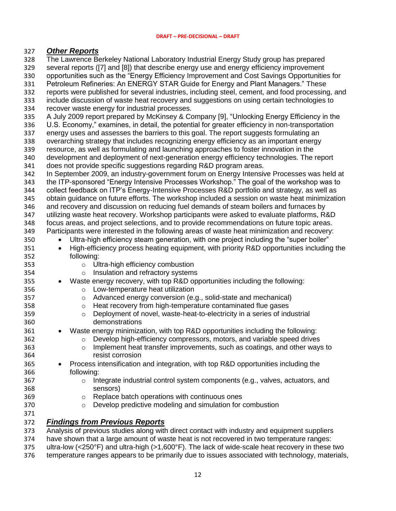### *Other Reports*

The Lawrence Berkeley National Laboratory Industrial Energy Study group has prepared

- several reports ([7] and [8]) that describe energy use and energy efficiency improvement
- opportunities such as the "Energy Efficiency Improvement and Cost Savings Opportunities for
- Petroleum Refineries: An ENERGY STAR Guide for Energy and Plant Managers." These
- reports were published for several industries, including steel, cement, and food processing, and
- include discussion of waste heat recovery and suggestions on using certain technologies to
- recover waste energy for industrial processes.
- A July 2009 report prepared by McKinsey & Company [9], "Unlocking Energy Efficiency in the
- U.S. Economy," examines, in detail, the potential for greater efficiency in non-transportation
- energy uses and assesses the barriers to this goal. The report suggests formulating an
- 338 overarching strategy that includes recognizing energy efficiency as an important energy<br>339 resource, as well as formulating and launching approaches to foster innovation in the resource, as well as formulating and launching approaches to foster innovation in the
- development and deployment of next-generation energy efficiency technologies. The report
- does not provide specific suggestions regarding R&D program areas.
- In September 2009, an industry-government forum on Energy Intensive Processes was held at the ITP-sponsored "Energy Intensive Processes Workshop." The goal of the workshop was to
- collect feedback on ITP's Energy-Intensive Processes R&D portfolio and strategy, as well as
- obtain guidance on future efforts. The workshop included a session on waste heat minimization and recovery and discussion on reducing fuel demands of steam boilers and furnaces by
- utilizing waste heat recovery. Workshop participants were asked to evaluate platforms, R&D
- 348 focus areas, and project selections, and to provide recommendations on future topic areas.<br>349 Farticipants were interested in the following areas of waste heat minimization and recovery:
- Participants were interested in the following areas of waste heat minimization and recovery:
- Ultra-high efficiency steam generation, with one project including the "super boiler"
- 351 High-efficiency process heating equipment, with priority R&D opportunities including the following:
- o Ultra-high efficiency combustion
- o Insulation and refractory systems
- Waste energy recovery, with top R&D opportunities including the following:
- o Low-temperature heat utilization
- o Advanced energy conversion (e.g., solid-state and mechanical)
- o Heat recovery from high-temperature contaminated flue gases
- o Deployment of novel, waste-heat-to-electricity in a series of industrial demonstrations
- Waste energy minimization, with top R&D opportunities including the following:
- o Develop high-efficiency compressors, motors, and variable speed drives
- o Implement heat transfer improvements, such as coatings, and other ways to resist corrosion
- Process intensification and integration, with top R&D opportunities including the following:
- o Integrate industrial control system components (e.g., valves, actuators, and sensors)
- o Replace batch operations with continuous ones
- o Develop predictive modeling and simulation for combustion
- *Findings from Previous Reports*
- Analysis of previous studies along with direct contact with industry and equipment suppliers
- have shown that a large amount of waste heat is not recovered in two temperature ranges:
- ultra-low (<250°F) and ultra-high (>1,600°F). The lack of wide-scale heat recovery in these two
- temperature ranges appears to be primarily due to issues associated with technology, materials,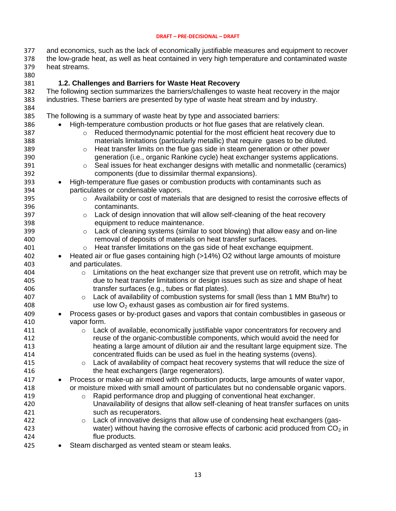- and economics, such as the lack of economically justifiable measures and equipment to recover the low-grade heat, as well as heat contained in very high temperature and contaminated waste heat streams.
- <span id="page-12-0"></span> **1.2. Challenges and Barriers for Waste Heat Recovery** The following section summarizes the barriers/challenges to waste heat recovery in the major industries. These barriers are presented by type of waste heat stream and by industry. The following is a summary of waste heat by type and associated barriers: High-temperature combustion products or hot flue gases that are relatively clean. o Reduced thermodynamic potential for the most efficient heat recovery due to materials limitations (particularly metallic) that require gases to be diluted. **b Example 20 Set in the flue gas side in steam generation or other power**  generation (i.e., organic Rankine cycle) heat exchanger systems applications. o Seal issues for heat exchanger designs with metallic and nonmetallic (ceramics) components (due to dissimilar thermal expansions). High-temperature flue gases or combustion products with contaminants such as particulates or condensable vapors. 395 o Availability or cost of materials that are designed to resist the corrosive effects of contaminants. o Lack of design innovation that will allow self-cleaning of the heat recovery equipment to reduce maintenance. **b Cack of cleaning systems (similar to soot blowing) that allow easy and on-line**  removal of deposits of materials on heat transfer surfaces. o Heat transfer limitations on the gas side of heat exchange equipment. Heated air or flue gases containing high (>14%) O2 without large amounts of moisture and particulates. o Limitations on the heat exchanger size that prevent use on retrofit, which may be due to heat transfer limitations or design issues such as size and shape of heat transfer surfaces (e.g., tubes or flat plates). **b 407** o Lack of availability of combustion systems for small (less than 1 MM Btu/hr) to 408 use low  $O<sub>2</sub>$  exhaust gases as combustion air for fired systems. Process gases or by-product gases and vapors that contain combustibles in gaseous or vapor form. **b and Cack of available, economically justifiable vapor concentrators for recovery and**  reuse of the organic-combustible components, which would avoid the need for heating a large amount of dilution air and the resultant large equipment size. The concentrated fluids can be used as fuel in the heating systems (ovens). o Lack of availability of compact heat recovery systems that will reduce the size of the heat exchangers (large regenerators). 417 • Process or make-up air mixed with combustion products, large amounts of water vapor, or moisture mixed with small amount of particulates but no condensable organic vapors. o Rapid performance drop and plugging of conventional heat exchanger. Unavailability of designs that allow self-cleaning of heat transfer surfaces on units such as recuperators. **b** Cack of innovative designs that allow use of condensing heat exchangers (gas-423 water) without having the corrosive effects of carbonic acid produced from  $CO<sub>2</sub>$  in flue products. 425 • Steam discharged as vented steam or steam leaks.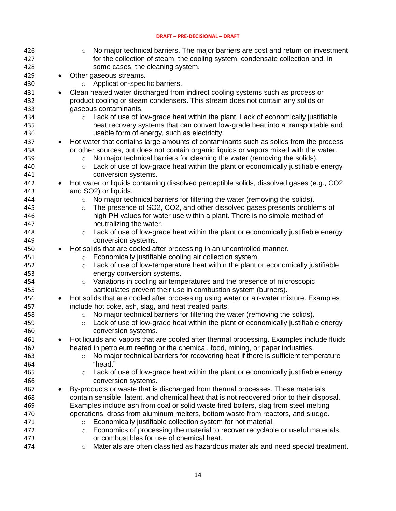| 426 |           | No major technical barriers. The major barriers are cost and return on investment<br>$\circ$  |
|-----|-----------|-----------------------------------------------------------------------------------------------|
| 427 |           | for the collection of steam, the cooling system, condensate collection and, in                |
| 428 |           | some cases, the cleaning system.                                                              |
| 429 | $\bullet$ | Other gaseous streams.                                                                        |
| 430 |           | Application-specific barriers.<br>$\circ$                                                     |
| 431 | $\bullet$ | Clean heated water discharged from indirect cooling systems such as process or                |
| 432 |           | product cooling or steam condensers. This stream does not contain any solids or               |
| 433 |           | gaseous contaminants.                                                                         |
| 434 |           | Lack of use of low-grade heat within the plant. Lack of economically justifiable<br>$\circ$   |
| 435 |           | heat recovery systems that can convert low-grade heat into a transportable and                |
| 436 |           | usable form of energy, such as electricity.                                                   |
| 437 | $\bullet$ | Hot water that contains large amounts of contaminants such as solids from the process         |
| 438 |           | or other sources, but does not contain organic liquids or vapors mixed with the water.        |
| 439 |           | No major technical barriers for cleaning the water (removing the solids).<br>$\circ$          |
| 440 |           | Lack of use of low-grade heat within the plant or economically justifiable energy<br>$\circ$  |
| 441 |           | conversion systems.                                                                           |
| 442 | $\bullet$ | Hot water or liquids containing dissolved perceptible solids, dissolved gases (e.g., CO2      |
| 443 |           | and SO2) or liquids.                                                                          |
| 444 |           | No major technical barriers for filtering the water (removing the solids).<br>$\circ$         |
| 445 |           | The presence of SO2, CO2, and other dissolved gases presents problems of<br>$\circ$           |
| 446 |           | high PH values for water use within a plant. There is no simple method of                     |
| 447 |           | neutralizing the water.                                                                       |
| 448 |           | Lack of use of low-grade heat within the plant or economically justifiable energy<br>$\circ$  |
| 449 |           | conversion systems.                                                                           |
| 450 | $\bullet$ | Hot solids that are cooled after processing in an uncontrolled manner.                        |
| 451 |           | Economically justifiable cooling air collection system.<br>$\circ$                            |
| 452 |           | Lack of use of low-temperature heat within the plant or economically justifiable<br>$\circ$   |
| 453 |           | energy conversion systems.                                                                    |
| 454 |           | Variations in cooling air temperatures and the presence of microscopic<br>$\circ$             |
| 455 |           | particulates prevent their use in combustion system (burners).                                |
| 456 | $\bullet$ | Hot solids that are cooled after processing using water or air-water mixture. Examples        |
| 457 |           | include hot coke, ash, slag, and heat treated parts.                                          |
| 458 |           | No major technical barriers for filtering the water (removing the solids).<br>$\circ$         |
| 459 |           | Lack of use of low-grade heat within the plant or economically justifiable energy<br>$\circ$  |
| 460 |           | conversion systems.                                                                           |
| 461 |           | Hot liquids and vapors that are cooled after thermal processing. Examples include fluids      |
| 462 |           | heated in petroleum reefing or the chemical, food, mining, or paper industries.               |
| 463 |           | No major technical barriers for recovering heat if there is sufficient temperature<br>$\circ$ |
| 464 |           | "head."                                                                                       |
| 465 |           | Lack of use of low-grade heat within the plant or economically justifiable energy<br>$\circ$  |
| 466 |           | conversion systems.                                                                           |
| 467 | $\bullet$ | By-products or waste that is discharged from thermal processes. These materials               |
| 468 |           | contain sensible, latent, and chemical heat that is not recovered prior to their disposal.    |
| 469 |           | Examples include ash from coal or solid waste fired boilers, slag from steel melting          |
| 470 |           | operations, dross from aluminum melters, bottom waste from reactors, and sludge.              |
| 471 |           | Economically justifiable collection system for hot material.<br>$\circ$                       |
| 472 |           | Economics of processing the material to recover recyclable or useful materials,<br>$\circ$    |
| 473 |           | or combustibles for use of chemical heat.                                                     |
| 474 |           | Materials are often classified as hazardous materials and need special treatment.<br>$\circ$  |
|     |           |                                                                                               |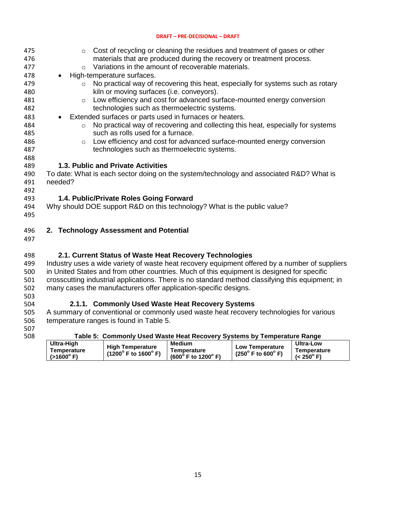<span id="page-14-0"></span>

| 475        | $\circ$ Cost of recycling or cleaning the residues and treatment of gases or other                                                          |
|------------|---------------------------------------------------------------------------------------------------------------------------------------------|
| 476        | materials that are produced during the recovery or treatment process.                                                                       |
| 477        | Variations in the amount of recoverable materials.<br>$\circ$                                                                               |
| 478<br>479 | High-temperature surfaces.<br>$\bullet$<br>No practical way of recovering this heat, especially for systems such as rotary<br>$\circ$       |
| 480        | kiln or moving surfaces (i.e. conveyors).                                                                                                   |
| 481        | Low efficiency and cost for advanced surface-mounted energy conversion<br>$\circ$                                                           |
| 482        | technologies such as thermoelectric systems.                                                                                                |
| 483        | Extended surfaces or parts used in furnaces or heaters.<br>$\bullet$                                                                        |
| 484        | No practical way of recovering and collecting this heat, especially for systems<br>$\circ$                                                  |
| 485        | such as rolls used for a furnace.                                                                                                           |
| 486        | Low efficiency and cost for advanced surface-mounted energy conversion<br>$\circ$                                                           |
| 487        | technologies such as thermoelectric systems.                                                                                                |
| 488        |                                                                                                                                             |
| 489        | 1.3. Public and Private Activities                                                                                                          |
| 490        | To date: What is each sector doing on the system/technology and associated R&D? What is                                                     |
| 491        | needed?                                                                                                                                     |
| 492        |                                                                                                                                             |
| 493        | 1.4. Public/Private Roles Going Forward                                                                                                     |
| 494        | Why should DOE support R&D on this technology? What is the public value?                                                                    |
| 495        |                                                                                                                                             |
| 496        | 2. Technology Assessment and Potential                                                                                                      |
| 497        |                                                                                                                                             |
|            |                                                                                                                                             |
| 498        | 2.1. Current Status of Waste Heat Recovery Technologies                                                                                     |
| 499        | Industry uses a wide variety of waste heat recovery equipment offered by a number of suppliers                                              |
| 500        | in United States and from other countries. Much of this equipment is designed for specific                                                  |
| 501        | crosscutting industrial applications. There is no standard method classifying this equipment; in                                            |
| 502        | many cases the manufacturers offer application-specific designs.                                                                            |
| 503        |                                                                                                                                             |
| 504<br>505 | 2.1.1. Commonly Used Waste Heat Recovery Systems<br>A summary of conventional or commonly used waste heat recovery technologies for various |
| 506        | temperature ranges is found in Table 5.                                                                                                     |
| 507        |                                                                                                                                             |
| 508        | Table 5: Commonly Used Waste Heat Recovery Systems by Temperature Range                                                                     |
|            |                                                                                                                                             |

<span id="page-14-4"></span><span id="page-14-3"></span><span id="page-14-2"></span><span id="page-14-1"></span>

|                                                  |                                                                   | LADIE 3.  COMMONIV USEG WASIE HEAL RECOVERY SYSIEMS DY TEMDEFAILLE RANGE |                                                                 |                                                        |
|--------------------------------------------------|-------------------------------------------------------------------|--------------------------------------------------------------------------|-----------------------------------------------------------------|--------------------------------------------------------|
| Ultra-High<br>Temperature<br>$(>1600^{\circ} F)$ | <b>High Temperature</b><br>$(1200^{\circ}$ F to $1600^{\circ}$ F) | <b>Medium</b><br>Temperature<br>$(600^{\circ}$ F to 1200 $^{\circ}$ F)   | <b>Low Temperature</b><br>$(250^{\circ}$ F to 600 $^{\circ}$ F) | <b>Ultra-Low</b><br>Temperature<br>$(< 250^{\circ} F)$ |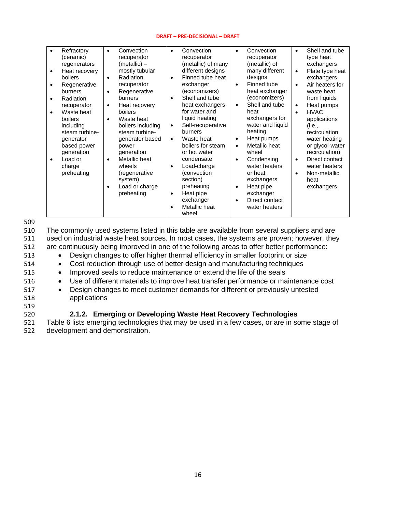| Refractory<br>(ceramic)<br>regenerators<br>Heat recovery<br>$\bullet$<br>boilers<br>Regenerative<br>$\bullet$<br>burners<br>Radiation<br>$\bullet$<br>recuperator<br>Waste heat<br>$\bullet$<br>boilers<br>including<br>steam turbine-<br>generator<br>based power<br>generation<br>Load or<br>$\bullet$<br>charge<br>preheating | Convection<br>$\bullet$<br>recuperator<br>(metallic) –<br>mostly tubular<br>Radiation<br>$\bullet$<br>recuperator<br>Regenerative<br>$\bullet$<br>burners<br>Heat recovery<br>$\bullet$<br>boilers<br>Waste heat<br>$\bullet$<br>boilers including<br>steam turbine-<br>generator based<br>power<br>generation<br>Metallic heat<br>$\bullet$<br>wheels<br>(regenerative<br>system)<br>Load or charge<br>$\bullet$<br>preheating | Convection<br>$\bullet$<br>recuperator<br>(metallic) of many<br>different designs<br>Finned tube heat<br>$\bullet$<br>exchanger<br>(economizers)<br>Shell and tube<br>$\bullet$<br>heat exchangers<br>for water and<br>liquid heating<br>Self-recuperative<br>$\bullet$<br>burners<br>Waste heat<br>$\bullet$<br>boilers for steam<br>or hot water<br>condensate<br>Load-charge<br>$\bullet$<br>(convection<br>section)<br>preheating<br>Heat pipe<br>$\bullet$<br>exchanger<br>٠ | Convection<br>$\bullet$<br>recuperator<br>(metallic) of<br>many different<br>designs<br>Finned tube<br>$\bullet$<br>heat exchanger<br>(economizers)<br>Shell and tube<br>$\bullet$<br>heat<br>exchangers for<br>water and liquid<br>heating<br>Heat pumps<br>Metallic heat<br>$\bullet$<br>wheel<br>Condensing<br>$\bullet$<br>water heaters<br>or heat<br>exchangers<br>Heat pipe<br>$\bullet$<br>exchanger<br>Direct contact | Shell and tube<br>$\bullet$<br>type heat<br>exchangers<br>Plate type heat<br>$\bullet$<br>exchangers<br>Air heaters for<br>$\bullet$<br>waste heat<br>from liquids<br>Heat pumps<br>$\bullet$<br><b>HVAC</b><br>$\bullet$<br>applications<br>(i.e.,<br>recirculation<br>water heating<br>or glycol-water<br>recirculation)<br>Direct contact<br>$\bullet$<br>water heaters<br>Non-metallic<br>$\bullet$<br>heat<br>exchangers |
|----------------------------------------------------------------------------------------------------------------------------------------------------------------------------------------------------------------------------------------------------------------------------------------------------------------------------------|---------------------------------------------------------------------------------------------------------------------------------------------------------------------------------------------------------------------------------------------------------------------------------------------------------------------------------------------------------------------------------------------------------------------------------|-----------------------------------------------------------------------------------------------------------------------------------------------------------------------------------------------------------------------------------------------------------------------------------------------------------------------------------------------------------------------------------------------------------------------------------------------------------------------------------|--------------------------------------------------------------------------------------------------------------------------------------------------------------------------------------------------------------------------------------------------------------------------------------------------------------------------------------------------------------------------------------------------------------------------------|-------------------------------------------------------------------------------------------------------------------------------------------------------------------------------------------------------------------------------------------------------------------------------------------------------------------------------------------------------------------------------------------------------------------------------|
|                                                                                                                                                                                                                                                                                                                                  |                                                                                                                                                                                                                                                                                                                                                                                                                                 | Metallic heat<br>wheel                                                                                                                                                                                                                                                                                                                                                                                                                                                            | water heaters                                                                                                                                                                                                                                                                                                                                                                                                                  |                                                                                                                                                                                                                                                                                                                                                                                                                               |

509

 The commonly used systems listed in this table are available from several suppliers and are used on industrial waste heat sources. In most cases, the systems are proven; however, they are continuously being improved in one of the following areas to offer better performance: 513 • Design changes to offer higher thermal efficiency in smaller footprint or size Cost reduction through use of better design and manufacturing techniques 515 • Improved seals to reduce maintenance or extend the life of the seals Use of different materials to improve heat transfer performance or maintenance cost Design changes to meet customer demands for different or previously untested applications 519

### <span id="page-15-0"></span>520 **2.1.2. Emerging or Developing Waste Heat Recovery Technologies**

521 Table 6 lists emerging technologies that may be used in a few cases, or are in some stage of 522 development and demonstration.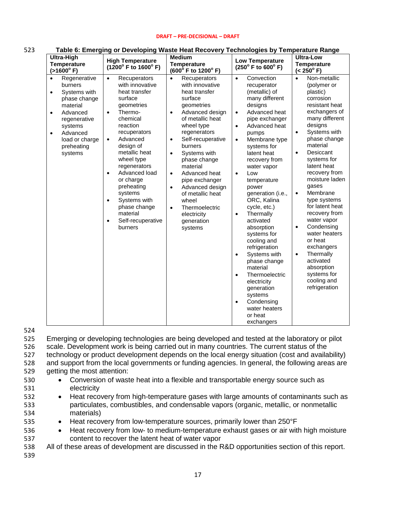| <b>Ultra-High</b><br><b>Temperature</b><br>$(>1600^{\circ} F)$                                                                                                                                                        | v. svivivping<br><b>High Temperature</b><br>(1200° F to 1600° F)                                                                                                                                                                                                                                                                                                                                                      | <b>Tracto Hout Rood Tol</b><br><b>Medium</b><br><b>Temperature</b><br>(600° F to 1200° F)                                                                                                                                                                                                                                                                                                                                                                          | 199111919919997<br><b>Low Temperature</b><br>$(250^{\circ}$ F to $600^{\circ}$ F)                                                                                                                                                                                                                                                                                                                                                                                                                                                                                                                                                                                                | <b>Ultra-Low</b><br><b>Temperature</b><br>$(< 250^{\circ} \text{ F})$                                                                                                                                                                                                                                                                                                                                                                                                                                                                                  |
|-----------------------------------------------------------------------------------------------------------------------------------------------------------------------------------------------------------------------|-----------------------------------------------------------------------------------------------------------------------------------------------------------------------------------------------------------------------------------------------------------------------------------------------------------------------------------------------------------------------------------------------------------------------|--------------------------------------------------------------------------------------------------------------------------------------------------------------------------------------------------------------------------------------------------------------------------------------------------------------------------------------------------------------------------------------------------------------------------------------------------------------------|----------------------------------------------------------------------------------------------------------------------------------------------------------------------------------------------------------------------------------------------------------------------------------------------------------------------------------------------------------------------------------------------------------------------------------------------------------------------------------------------------------------------------------------------------------------------------------------------------------------------------------------------------------------------------------|--------------------------------------------------------------------------------------------------------------------------------------------------------------------------------------------------------------------------------------------------------------------------------------------------------------------------------------------------------------------------------------------------------------------------------------------------------------------------------------------------------------------------------------------------------|
| Regenerative<br>$\bullet$<br>burners<br>Systems with<br>$\bullet$<br>phase change<br>material<br>Advanced<br>$\bullet$<br>regenerative<br>systems<br>Advanced<br>$\bullet$<br>load or charge<br>preheating<br>systems | $\bullet$<br>Recuperators<br>with innovative<br>heat transfer<br>surface<br>geometries<br>Thermo-<br>$\bullet$<br>chemical<br>reaction<br>recuperators<br>Advanced<br>$\bullet$<br>design of<br>metallic heat<br>wheel type<br>regenerators<br>Advanced load<br>$\bullet$<br>or charge<br>preheating<br>systems<br>Systems with<br>$\bullet$<br>phase change<br>material<br>Self-recuperative<br>$\bullet$<br>burners | Recuperators<br>$\bullet$<br>with innovative<br>heat transfer<br>surface<br>geometries<br>Advanced design<br>$\bullet$<br>of metallic heat<br>wheel type<br>regenerators<br>Self-recuperative<br>$\bullet$<br>burners<br>Systems with<br>$\bullet$<br>phase change<br>material<br>Advanced heat<br>$\bullet$<br>pipe exchanger<br>Advanced design<br>$\bullet$<br>of metallic heat<br>wheel<br>Thermoelectric<br>$\bullet$<br>electricity<br>generation<br>systems | Convection<br>$\bullet$<br>recuperator<br>(metallic) of<br>many different<br>designs<br>Advanced heat<br>$\bullet$<br>pipe exchanger<br>Advanced heat<br>$\bullet$<br>pumps<br>Membrane type<br>$\bullet$<br>systems for<br>latent heat<br>recovery from<br>water vapor<br>Low<br>$\bullet$<br>temperature<br>power<br>generation (i.e.,<br>ORC, Kalina<br>cycle, etc.)<br>Thermally<br>$\bullet$<br>activated<br>absorption<br>systems for<br>cooling and<br>refrigeration<br>Systems with<br>$\bullet$<br>phase change<br>material<br>Thermoelectric<br>$\bullet$<br>electricity<br>generation<br>systems<br>Condensing<br>$\bullet$<br>water heaters<br>or heat<br>exchangers | Non-metallic<br>$\bullet$<br>(polymer or<br>plastic)<br>corrosion<br>resistant heat<br>exchangers of<br>many different<br>designs<br>Systems with<br>phase change<br>material<br>Desiccant<br>$\bullet$<br>systems for<br>latent heat<br>recovery from<br>moisture laden<br>gases<br>Membrane<br>$\bullet$<br>type systems<br>for latent heat<br>recovery from<br>water vapor<br>Condensing<br>$\bullet$<br>water heaters<br>or heat<br>exchangers<br>Thermally<br>$\bullet$<br>activated<br>absorption<br>systems for<br>cooling and<br>refrigeration |

#### 523 **Table 6: Emerging or Developing Waste Heat Recovery Technologies by Temperature Range**

524

 Emerging or developing technologies are being developed and tested at the laboratory or pilot scale. Development work is being carried out in many countries. The current status of the technology or product development depends on the local energy situation (cost and availability) and support from the local governments or funding agencies. In general, the following areas are getting the most attention:

- 
- 530 Conversion of waste heat into a flexible and transportable energy source such as 531 electricity
- 532 Heat recovery from high-temperature gases with large amounts of contaminants such as 533 particulates, combustibles, and condensable vapors (organic, metallic, or nonmetallic 534 materials)
- 535 Heat recovery from low-temperature sources, primarily lower than 250°F
- 536 Heat recovery from low- to medium-temperature exhaust gases or air with high moisture 537 content to recover the latent heat of water vapor
- 538 All of these areas of development are discussed in the R&D opportunities section of this report.
- 539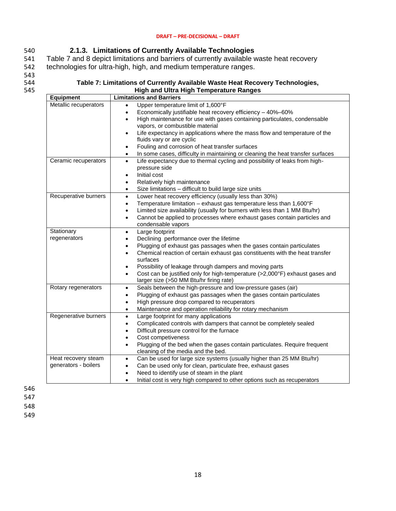### <span id="page-17-0"></span>540 **2.1.3. Limitations of Currently Available Technologies**

541 Table 7 and 8 depict limitations and barriers of currently available waste heat recovery 542 technologies for ultra-high, high, and medium temperature ranges.

543<br>544

#### 544 **Table 7: Limitations of Currently Available Waste Heat Recovery Technologies,** 545 **High and Ultra High Temperature Ranges**

| <b>Equipment</b>           | <b>Limitations and Barriers</b>                                                                       |
|----------------------------|-------------------------------------------------------------------------------------------------------|
| Metallic recuperators      | Upper temperature limit of 1,600°F<br>$\bullet$                                                       |
|                            | Economically justifiable heat recovery efficiency - 40%-60%<br>$\bullet$                              |
|                            | High maintenance for use with gases containing particulates, condensable<br>$\bullet$                 |
|                            | vapors, or combustible material                                                                       |
|                            | Life expectancy in applications where the mass flow and temperature of the<br>$\bullet$               |
|                            | fluids vary or are cyclic                                                                             |
|                            | Fouling and corrosion of heat transfer surfaces<br>$\bullet$                                          |
|                            | In some cases, difficulty in maintaining or cleaning the heat transfer surfaces<br>$\bullet$          |
| Ceramic recuperators       | Life expectancy due to thermal cycling and possibility of leaks from high-<br>$\bullet$               |
|                            | pressure side                                                                                         |
|                            | Initial cost<br>$\bullet$                                                                             |
|                            | Relatively high maintenance<br>$\bullet$                                                              |
|                            | Size limitations - difficult to build large size units<br>$\bullet$                                   |
| Recuperative burners       | Lower heat recovery efficiency (usually less than 30%)<br>$\bullet$                                   |
|                            | Temperature limitation - exhaust gas temperature less than 1,600°F<br>$\bullet$                       |
|                            | Limited size availability (usually for burners with less than 1 MM Btu/hr)<br>$\bullet$               |
|                            | Cannot be applied to processes where exhaust gases contain particles and<br>$\bullet$                 |
|                            | condensable vapors                                                                                    |
| Stationary<br>regenerators | Large footprint<br>$\bullet$                                                                          |
|                            | Declining performance over the lifetime                                                               |
|                            | Plugging of exhaust gas passages when the gases contain particulates<br>$\bullet$                     |
|                            | Chemical reaction of certain exhaust gas constituents with the heat transfer<br>$\bullet$<br>surfaces |
|                            | Possibility of leakage through dampers and moving parts<br>$\bullet$                                  |
|                            | Cost can be justified only for high-temperature (>2,000°F) exhaust gases and<br>$\bullet$             |
|                            | larger size (>50 MM Btu/hr firing rate)                                                               |
| Rotary regenerators        | Seals between the high-pressure and low-pressure gases (air)<br>$\bullet$                             |
|                            | Plugging of exhaust gas passages when the gases contain particulates<br>$\bullet$                     |
|                            | High pressure drop compared to recuperators<br>$\bullet$                                              |
|                            | Maintenance and operation reliability for rotary mechanism<br>$\bullet$                               |
| Regenerative burners       | Large footprint for many applications<br>$\bullet$                                                    |
|                            | Complicated controls with dampers that cannot be completely sealed<br>$\bullet$                       |
|                            | Difficult pressure control for the furnace<br>$\bullet$                                               |
|                            | Cost competiveness<br>$\bullet$                                                                       |
|                            | Plugging of the bed when the gases contain particulates. Require frequent<br>$\bullet$                |
|                            | cleaning of the media and the bed.                                                                    |
| Heat recovery steam        | Can be used for large size systems (usually higher than 25 MM Btu/hr)<br>$\bullet$                    |
| generators - boilers       | Can be used only for clean, particulate free, exhaust gases<br>$\bullet$                              |
|                            | Need to identify use of steam in the plant<br>$\bullet$                                               |
|                            | Initial cost is very high compared to other options such as recuperators<br>$\bullet$                 |

546

547

548

549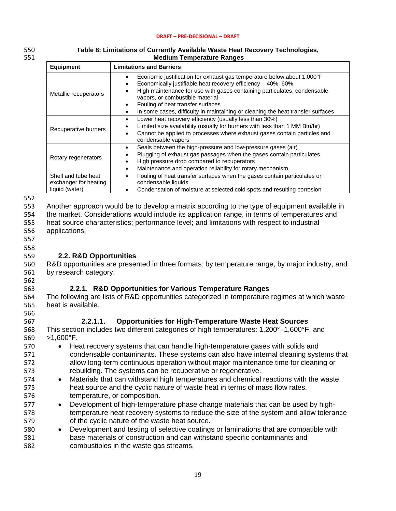| 550 | Table 8: Limitations of Currently Available Waste Heat Recovery Technologies, |
|-----|-------------------------------------------------------------------------------|
| 551 | <b>Medium Temperature Ranges</b>                                              |
|     |                                                                               |

| <b>Equipment</b>                                               | <b>Limitations and Barriers</b>                                                                                                                                                                                                                                                                                                                                              |
|----------------------------------------------------------------|------------------------------------------------------------------------------------------------------------------------------------------------------------------------------------------------------------------------------------------------------------------------------------------------------------------------------------------------------------------------------|
| Metallic recuperators                                          | Economic justification for exhaust gas temperature below about 1,000°F<br>Economically justifiable heat recovery efficiency - 40%-60%<br>High maintenance for use with gases containing particulates, condensable<br>vapors, or combustible material<br>Fouling of heat transfer surfaces<br>In some cases, difficulty in maintaining or cleaning the heat transfer surfaces |
| Recuperative burners                                           | Lower heat recovery efficiency (usually less than 30%)<br>Limited size availability (usually for burners with less than 1 MM Btu/hr)<br>Cannot be applied to processes where exhaust gases contain particles and<br>condensable vapors                                                                                                                                       |
| Rotary regenerators                                            | Seals between the high-pressure and low-pressure gases (air)<br>Plugging of exhaust gas passages when the gases contain particulates<br>High pressure drop compared to recuperators<br>Maintenance and operation reliability for rotary mechanism                                                                                                                            |
| Shell and tube heat<br>exchanger for heating<br>liquid (water) | Fouling of heat transfer surfaces when the gases contain particulates or<br>condensable liquids<br>Condensation of moisture at selected cold spots and resulting corrosion                                                                                                                                                                                                   |

552

553 Another approach would be to develop a matrix according to the type of equipment available in<br>554 the market. Considerations would include its application range, in terms of temperatures and

the market. Considerations would include its application range, in terms of temperatures and 555 heat source characteristics; performance level; and limitations with respect to industrial 556 applications.

- 
- 557 558

562

566

### <span id="page-18-0"></span>559 **2.2. R&D Opportunities**

560 R&D opportunities are presented in three formats: by temperature range, by major industry, and 561 by research category.

- <span id="page-18-1"></span>563 **2.2.1. R&D Opportunities for Various Temperature Ranges**
- 564 The following are lists of R&D opportunities categorized in temperature regimes at which waste 565 heat is available.
- 567 **2.2.1.1. Opportunities for High-Temperature Waste Heat Sources**
- 568 This section includes two different categories of high temperatures: 1,200°–1,600°F, and 569 >1,600°F.
- 570 Heat recovery systems that can handle high-temperature gases with solids and 571 condensable contaminants. These systems can also have internal cleaning systems that 572 allow long-term continuous operation without major maintenance time for cleaning or 573 rebuilding. The systems can be recuperative or regenerative.
- 574 Materials that can withstand high temperatures and chemical reactions with the waste 575 heat source and the cyclic nature of waste heat in terms of mass flow rates, 576 temperature, or composition.
- 577 Development of high-temperature phase change materials that can be used by high-578 temperature heat recovery systems to reduce the size of the system and allow tolerance 579 of the cyclic nature of the waste heat source.
- 580 Development and testing of selective coatings or laminations that are compatible with 581 base materials of construction and can withstand specific contaminants and 582 combustibles in the waste gas streams.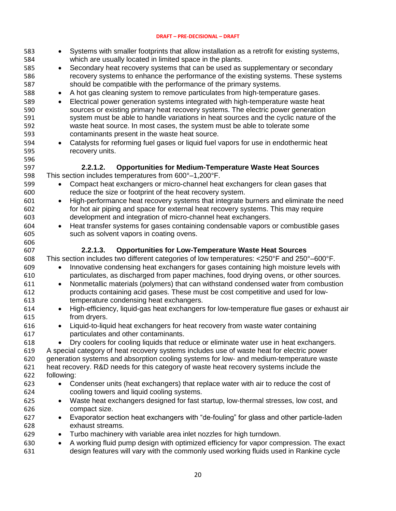| 583<br>584<br>585<br>586<br>587<br>588<br>589<br>590<br>591<br>592 | Systems with smaller footprints that allow installation as a retrofit for existing systems,<br>which are usually located in limited space in the plants.<br>Secondary heat recovery systems that can be used as supplementary or secondary<br>$\bullet$<br>recovery systems to enhance the performance of the existing systems. These systems<br>should be compatible with the performance of the primary systems.<br>A hot gas cleaning system to remove particulates from high-temperature gases.<br>$\bullet$<br>Electrical power generation systems integrated with high-temperature waste heat<br>$\bullet$<br>sources or existing primary heat recovery systems. The electric power generation<br>system must be able to handle variations in heat sources and the cyclic nature of the<br>waste heat source. In most cases, the system must be able to tolerate some |
|--------------------------------------------------------------------|-----------------------------------------------------------------------------------------------------------------------------------------------------------------------------------------------------------------------------------------------------------------------------------------------------------------------------------------------------------------------------------------------------------------------------------------------------------------------------------------------------------------------------------------------------------------------------------------------------------------------------------------------------------------------------------------------------------------------------------------------------------------------------------------------------------------------------------------------------------------------------|
| 593<br>594<br>595<br>596                                           | contaminants present in the waste heat source.<br>Catalysts for reforming fuel gases or liquid fuel vapors for use in endothermic heat<br>$\bullet$<br>recovery units.                                                                                                                                                                                                                                                                                                                                                                                                                                                                                                                                                                                                                                                                                                      |
| 597<br>598                                                         | <b>Opportunities for Medium-Temperature Waste Heat Sources</b><br>2.2.1.2.<br>This section includes temperatures from 600°-1,200°F.                                                                                                                                                                                                                                                                                                                                                                                                                                                                                                                                                                                                                                                                                                                                         |
| 599<br>600                                                         | Compact heat exchangers or micro-channel heat exchangers for clean gases that<br>reduce the size or footprint of the heat recovery system.                                                                                                                                                                                                                                                                                                                                                                                                                                                                                                                                                                                                                                                                                                                                  |
| 601<br>602<br>603<br>604<br>605<br>606                             | High-performance heat recovery systems that integrate burners and eliminate the need<br>$\bullet$<br>for hot air piping and space for external heat recovery systems. This may require<br>development and integration of micro-channel heat exchangers.<br>Heat transfer systems for gases containing condensable vapors or combustible gases<br>$\bullet$<br>such as solvent vapors in coating ovens.                                                                                                                                                                                                                                                                                                                                                                                                                                                                      |
| 607                                                                | 2.2.1.3.<br><b>Opportunities for Low-Temperature Waste Heat Sources</b>                                                                                                                                                                                                                                                                                                                                                                                                                                                                                                                                                                                                                                                                                                                                                                                                     |
| 608<br>609<br>610<br>611<br>612                                    | This section includes two different categories of low temperatures: <250°F and 250°-600°F.<br>Innovative condensing heat exchangers for gases containing high moisture levels with<br>$\bullet$<br>particulates, as discharged from paper machines, food drying ovens, or other sources.<br>Nonmetallic materials (polymers) that can withstand condensed water from combustion<br>$\bullet$<br>products containing acid gases. These must be cost competitive and used for low-                                                                                                                                                                                                                                                                                                                                                                                            |
| 613<br>614                                                         | temperature condensing heat exchangers.<br>High-efficiency, liquid-gas heat exchangers for low-temperature flue gases or exhaust air                                                                                                                                                                                                                                                                                                                                                                                                                                                                                                                                                                                                                                                                                                                                        |
| 615<br>616<br>617                                                  | from dryers.<br>Liquid-to-liquid heat exchangers for heat recovery from waste water containing<br>particulates and other contaminants.                                                                                                                                                                                                                                                                                                                                                                                                                                                                                                                                                                                                                                                                                                                                      |
| 618<br>619<br>620<br>621                                           | Dry coolers for cooling liquids that reduce or eliminate water use in heat exchangers.<br>$\bullet$<br>A special category of heat recovery systems includes use of waste heat for electric power<br>generation systems and absorption cooling systems for low- and medium-temperature waste<br>heat recovery. R&D needs for this category of waste heat recovery systems include the                                                                                                                                                                                                                                                                                                                                                                                                                                                                                        |
| 622                                                                | following:                                                                                                                                                                                                                                                                                                                                                                                                                                                                                                                                                                                                                                                                                                                                                                                                                                                                  |
| 623<br>624                                                         | Condenser units (heat exchangers) that replace water with air to reduce the cost of<br>$\bullet$<br>cooling towers and liquid cooling systems.                                                                                                                                                                                                                                                                                                                                                                                                                                                                                                                                                                                                                                                                                                                              |
| 625<br>626                                                         | Waste heat exchangers designed for fast startup, low-thermal stresses, low cost, and<br>compact size.                                                                                                                                                                                                                                                                                                                                                                                                                                                                                                                                                                                                                                                                                                                                                                       |
| 627<br>628                                                         | Evaporator section heat exchangers with "de-fouling" for glass and other particle-laden<br>exhaust streams.                                                                                                                                                                                                                                                                                                                                                                                                                                                                                                                                                                                                                                                                                                                                                                 |
| 629                                                                | Turbo machinery with variable area inlet nozzles for high turndown.<br>$\bullet$                                                                                                                                                                                                                                                                                                                                                                                                                                                                                                                                                                                                                                                                                                                                                                                            |
| 630<br>631                                                         | A working fluid pump design with optimized efficiency for vapor compression. The exact<br>$\bullet$<br>design features will vary with the commonly used working fluids used in Rankine cycle                                                                                                                                                                                                                                                                                                                                                                                                                                                                                                                                                                                                                                                                                |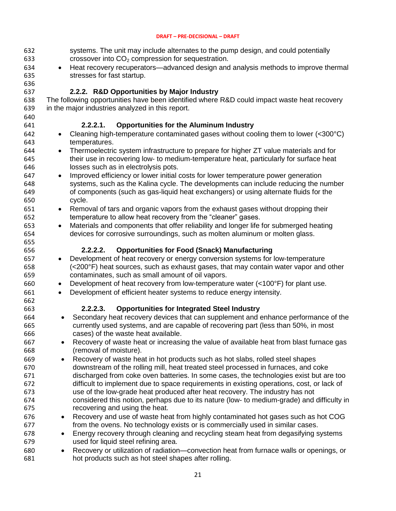<span id="page-20-0"></span>

| 632<br>633 |           | systems. The unit may include alternates to the pump design, and could potentially<br>crossover into $CO2$ compression for sequestration. |
|------------|-----------|-------------------------------------------------------------------------------------------------------------------------------------------|
| 634        | $\bullet$ | Heat recovery recuperators—advanced design and analysis methods to improve thermal                                                        |
| 635        |           | stresses for fast startup.                                                                                                                |
| 636        |           |                                                                                                                                           |
| 637        |           | 2.2.2. R&D Opportunities by Major Industry                                                                                                |
| 638        |           | The following opportunities have been identified where R&D could impact waste heat recovery                                               |
| 639        |           | in the major industries analyzed in this report.                                                                                          |
| 640        |           |                                                                                                                                           |
| 641        |           | $2.2.2.1$ .<br><b>Opportunities for the Aluminum Industry</b>                                                                             |
| 642        | $\bullet$ | Cleaning high-temperature contaminated gases without cooling them to lower (<300°C)                                                       |
| 643        |           | temperatures.                                                                                                                             |
| 644        | $\bullet$ | Thermoelectric system infrastructure to prepare for higher ZT value materials and for                                                     |
| 645        |           | their use in recovering low- to medium-temperature heat, particularly for surface heat                                                    |
| 646        |           | losses such as in electrolysis pots.                                                                                                      |
| 647        | $\bullet$ | Improved efficiency or lower initial costs for lower temperature power generation                                                         |
| 648        |           | systems, such as the Kalina cycle. The developments can include reducing the number                                                       |
| 649        |           | of components (such as gas-liquid heat exchangers) or using alternate fluids for the                                                      |
| 650        |           | cycle.                                                                                                                                    |
| 651        | $\bullet$ | Removal of tars and organic vapors from the exhaust gases without dropping their                                                          |
| 652        |           | temperature to allow heat recovery from the "cleaner" gases.                                                                              |
| 653        | $\bullet$ | Materials and components that offer reliability and longer life for submerged heating                                                     |
| 654        |           | devices for corrosive surroundings, such as molten aluminum or molten glass.                                                              |
| 655        |           |                                                                                                                                           |
| 656        |           | <b>Opportunities for Food (Snack) Manufacturing</b><br>2.2.2.2.                                                                           |
| 657        | $\bullet$ | Development of heat recovery or energy conversion systems for low-temperature                                                             |
| 658        |           | (<200°F) heat sources, such as exhaust gases, that may contain water vapor and other                                                      |
| 659        |           | contaminates, such as small amount of oil vapors.                                                                                         |
| 660        | $\bullet$ | Development of heat recovery from low-temperature water (<100°F) for plant use.                                                           |
| 661        | $\bullet$ | Development of efficient heater systems to reduce energy intensity.                                                                       |
| 662        |           |                                                                                                                                           |
| 663        |           | 2.2.2.3.<br><b>Opportunities for Integrated Steel Industry</b>                                                                            |
| 664        |           | Secondary heat recovery devices that can supplement and enhance performance of the                                                        |
| 665        |           | currently used systems, and are capable of recovering part (less than 50%, in most                                                        |
| 666        |           | cases) of the waste heat available.                                                                                                       |
| 667        |           | Recovery of waste heat or increasing the value of available heat from blast furnace gas                                                   |
| 668        |           | (removal of moisture).                                                                                                                    |
| 669        |           | Recovery of waste heat in hot products such as hot slabs, rolled steel shapes                                                             |
| 670        |           | downstream of the rolling mill, heat treated steel processed in furnaces, and coke                                                        |
| 671        |           | discharged from coke oven batteries. In some cases, the technologies exist but are too                                                    |
| 672        |           | difficult to implement due to space requirements in existing operations, cost, or lack of                                                 |
| 673        |           | use of the low-grade heat produced after heat recovery. The industry has not                                                              |
| 674        |           | considered this notion, perhaps due to its nature (low- to medium-grade) and difficulty in                                                |
| 675        |           | recovering and using the heat.                                                                                                            |
| 676        | $\bullet$ | Recovery and use of waste heat from highly contaminated hot gases such as hot COG                                                         |
| 677        |           | from the ovens. No technology exists or is commercially used in similar cases.                                                            |
| 678        | $\bullet$ | Energy recovery through cleaning and recycling steam heat from degasifying systems                                                        |
| 679        |           | used for liquid steel refining area.                                                                                                      |
| 680        | ٠         | Recovery or utilization of radiation—convection heat from furnace walls or openings, or                                                   |
| 681        |           | hot products such as hot steel shapes after rolling.                                                                                      |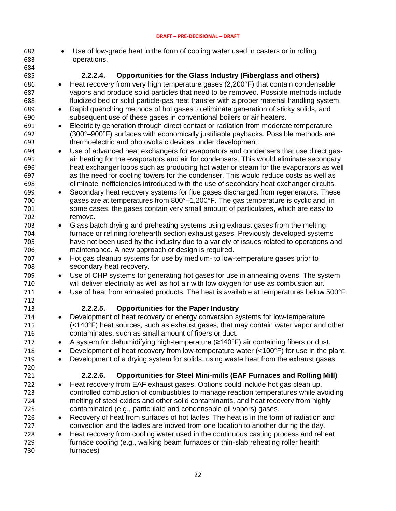- Use of low-grade heat in the form of cooling water used in casters or in rolling operations.
- **2.2.2.4. Opportunities for the Glass Industry (Fiberglass and others)**  Heat recovery from very high temperature gases (2,200°F) that contain condensable vapors and produce solid particles that need to be removed. Possible methods include fluidized bed or solid particle-gas heat transfer with a proper material handling system.
- Rapid quenching methods of hot gases to eliminate generation of sticky solids, and subsequent use of these gases in conventional boilers or air heaters.
- Electricity generation through direct contact or radiation from moderate temperature (300°–900°F) surfaces with economically justifiable paybacks. Possible methods are thermoelectric and photovoltaic devices under development.
- Use of advanced heat exchangers for evaporators and condensers that use direct gas- air heating for the evaporators and air for condensers. This would eliminate secondary heat exchanger loops such as producing hot water or steam for the evaporators as well as the need for cooling towers for the condenser. This would reduce costs as well as eliminate inefficiencies introduced with the use of secondary heat exchanger circuits.
- Secondary heat recovery systems for flue gases discharged from regenerators. These gases are at temperatures from 800°–1,200°F. The gas temperature is cyclic and, in some cases, the gases contain very small amount of particulates, which are easy to remove.
- Glass batch drying and preheating systems using exhaust gases from the melting furnace or refining forehearth section exhaust gases. Previously developed systems have not been used by the industry due to a variety of issues related to operations and maintenance. A new approach or design is required.
- Hot gas cleanup systems for use by medium- to low-temperature gases prior to secondary heat recovery.
- Use of CHP systems for generating hot gases for use in annealing ovens. The system will deliver electricity as well as hot air with low oxygen for use as combustion air.
- 711 Use of heat from annealed products. The heat is available at temperatures below 500°F.

### **2.2.2.5. Opportunities for the Paper Industry**

- Development of heat recovery or energy conversion systems for low-temperature (<140°F) heat sources, such as exhaust gases, that may contain water vapor and other contaminates, such as small amount of fibers or duct.
- 717 **A** system for dehumidifying high-temperature ( $\geq 140^{\circ}$ F) air containing fibers or dust.
- 718 Development of heat recovery from low-temperature water (<100°F) for use in the plant.
- Development of a drying system for solids, using waste heat from the exhaust gases.

### **2.2.2.6. Opportunities for Steel Mini-mills (EAF Furnaces and Rolling Mill)**

- 722 Heat recovery from EAF exhaust gases. Options could include hot gas clean up, controlled combustion of combustibles to manage reaction temperatures while avoiding melting of steel oxides and other solid contaminants, and heat recovery from highly contaminated (e.g., particulate and condensable oil vapors) gases.
- Recovery of heat from surfaces of hot ladles. The heat is in the form of radiation and convection and the ladles are moved from one location to another during the day.
- Heat recovery from cooling water used in the continuous casting process and reheat furnace cooling (e.g., walking beam furnaces or thin-slab reheating roller hearth furnaces)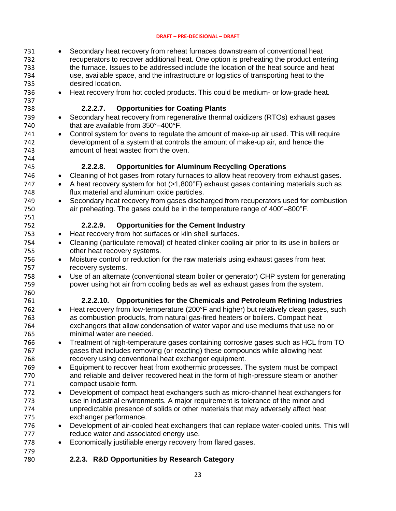- 731 Secondary heat recovery from reheat furnaces downstream of conventional heat 732 recuperators to recover additional heat. One option is preheating the product entering<br>733 the furnace. Issues to be addressed include the location of the heat source and heat the furnace. Issues to be addressed include the location of the heat source and heat use, available space, and the infrastructure or logistics of transporting heat to the desired location.
- 

736 • Heat recovery from hot cooled products. This could be medium- or low-grade heat.

### **2.2.2.7. Opportunities for Coating Plants**

- 739 Secondary heat recovery from regenerative thermal oxidizers (RTOs) exhaust gases 740 that are available from 350°–400°F.
- Control system for ovens to regulate the amount of make-up air used. This will require development of a system that controls the amount of make-up air, and hence the amount of heat wasted from the oven.

### **2.2.2.8. Opportunities for Aluminum Recycling Operations**

- Cleaning of hot gases from rotary furnaces to allow heat recovery from exhaust gases.
- 747 A heat recovery system for hot (>1,800°F) exhaust gases containing materials such as flux material and aluminum oxide particles.
- Secondary heat recovery from gases discharged from recuperators used for combustion air preheating. The gases could be in the temperature range of 400°–800°F.

### **2.2.2.9. Opportunities for the Cement Industry**

- 753 Heat recovery from hot surfaces or kiln shell surfaces.
- Cleaning (particulate removal) of heated clinker cooling air prior to its use in boilers or other heat recovery systems.
- Moisture control or reduction for the raw materials using exhaust gases from heat recovery systems.
- Use of an alternate (conventional steam boiler or generator) CHP system for generating power using hot air from cooling beds as well as exhaust gases from the system.

### **2.2.2.10. Opportunities for the Chemicals and Petroleum Refining Industries**

- 762 Heat recovery from low-temperature (200°F and higher) but relatively clean gases, such as combustion products, from natural gas-fired heaters or boilers. Compact heat exchangers that allow condensation of water vapor and use mediums that use no or minimal water are needed.
- Treatment of high-temperature gases containing corrosive gases such as HCL from TO gases that includes removing (or reacting) these compounds while allowing heat recovery using conventional heat exchanger equipment.
- Equipment to recover heat from exothermic processes. The system must be compact and reliable and deliver recovered heat in the form of high-pressure steam or another compact usable form.
- Development of compact heat exchangers such as micro-channel heat exchangers for use in industrial environments. A major requirement is tolerance of the minor and unpredictable presence of solids or other materials that may adversely affect heat exchanger performance.
- Development of air-cooled heat exchangers that can replace water-cooled units. This will 777 reduce water and associated energy use.
- 778 Economically justifiable energy recovery from flared gases.

### <span id="page-22-0"></span>**2.2.3. R&D Opportunities by Research Category**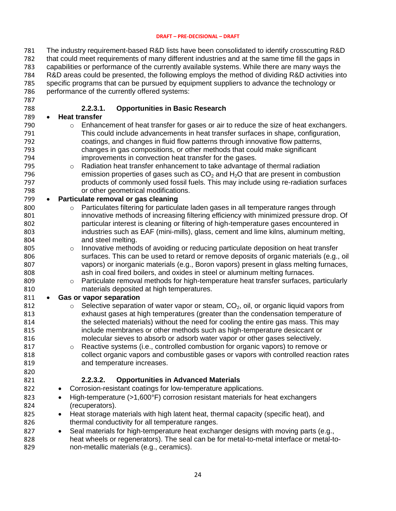The industry requirement-based R&D lists have been consolidated to identify crosscutting R&D that could meet requirements of many different industries and at the same time fill the gaps in capabilities or performance of the currently available systems. While there are many ways the R&D areas could be presented, the following employs the method of dividing R&D activities into specific programs that can be pursued by equipment suppliers to advance the technology or performance of the currently offered systems: 

### **2.2.3.1. Opportunities in Basic Research**

- **Heat transfer**
- **b Enhancement of heat transfer for gases or air to reduce the size of heat exchangers.**  This could include advancements in heat transfer surfaces in shape, configuration, coatings, and changes in fluid flow patterns through innovative flow patterns, changes in gas compositions, or other methods that could make significant improvements in convection heat transfer for the gases.
- **b Example 2014** o Radiation heat transfer enhancement to take advantage of thermal radiation 796 **Example 1** emission properties of gases such as  $CO<sub>2</sub>$  and  $H<sub>2</sub>O$  that are present in combustion products of commonly used fossil fuels. This may include using re-radiation surfaces or other geometrical modifications.

### **Particulate removal or gas cleaning**

- **b Particulates filtering for particulate laden gases in all temperature ranges through**  innovative methods of increasing filtering efficiency with minimized pressure drop. Of particular interest is cleaning or filtering of high-temperature gases encountered in industries such as EAF (mini-mills), glass, cement and lime kilns, aluminum melting, and steel melting.
- 805 o Innovative methods of avoiding or reducing particulate deposition on heat transfer surfaces. This can be used to retard or remove deposits of organic materials (e.g., oil vapors) or inorganic materials (e.g., Boron vapors) present in glass melting furnaces, ash in coal fired boilers, and oxides in steel or aluminum melting furnaces.
- **o** Particulate removal methods for high-temperature heat transfer surfaces, particularly materials deposited at high temperatures.

### **Gas or vapor separation**

- 812 o Selective separation of water vapor or steam,  $CO<sub>2</sub>$ , oil, or organic liquid vapors from exhaust gases at high temperatures (greater than the condensation temperature of the selected materials) without the need for cooling the entire gas mass. This may include membranes or other methods such as high-temperature desiccant or molecular sieves to absorb or adsorb water vapor or other gases selectively.
- **b** Reactive systems (i.e., controlled combustion for organic vapors) to remove or collect organic vapors and combustible gases or vapors with controlled reaction rates and temperature increases.

### **2.2.3.2. Opportunities in Advanced Materials**

- 822 Corrosion-resistant coatings for low-temperature applications.
- 823 High-temperature (>1,600°F) corrosion resistant materials for heat exchangers (recuperators).
- 825 Heat storage materials with high latent heat, thermal capacity (specific heat), and 826 thermal conductivity for all temperature ranges.
- 827 Seal materials for high-temperature heat exchanger designs with moving parts (e.g., heat wheels or regenerators). The seal can be for metal-to-metal interface or metal-to-non-metallic materials (e.g., ceramics).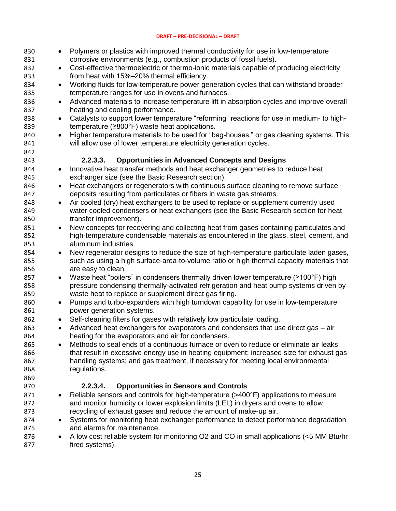| 830 | Polymers or plastics with improved thermal conductivity for use in low-temperature<br>$\bullet$       |
|-----|-------------------------------------------------------------------------------------------------------|
| 831 | corrosive environments (e.g., combustion products of fossil fuels).                                   |
| 832 | Cost-effective thermoelectric or thermo-ionic materials capable of producing electricity<br>$\bullet$ |
| 833 | from heat with 15%-20% thermal efficiency.                                                            |
| 834 | Working fluids for low-temperature power generation cycles that can withstand broader<br>$\bullet$    |
| 835 | temperature ranges for use in ovens and furnaces.                                                     |
| 836 | Advanced materials to increase temperature lift in absorption cycles and improve overall<br>$\bullet$ |
| 837 | heating and cooling performance.                                                                      |
| 838 | Catalysts to support lower temperature "reforming" reactions for use in medium- to high-<br>$\bullet$ |
| 839 | temperature $(\geq 800^\circ)$ waste heat applications.                                               |
| 840 | Higher temperature materials to be used for "bag-houses," or gas cleaning systems. This<br>$\bullet$  |
| 841 | will allow use of lower temperature electricity generation cycles.                                    |
| 842 |                                                                                                       |
| 843 | <b>Opportunities in Advanced Concepts and Designs</b><br>2.2.3.3.                                     |
| 844 | Innovative heat transfer methods and heat exchanger geometries to reduce heat<br>$\bullet$            |
| 845 | exchanger size (see the Basic Research section).                                                      |
| 846 | Heat exchangers or regenerators with continuous surface cleaning to remove surface<br>$\bullet$       |
| 847 | deposits resulting from particulates or fibers in waste gas streams.                                  |
| 848 | Air cooled (dry) heat exchangers to be used to replace or supplement currently used<br>$\bullet$      |
| 849 | water cooled condensers or heat exchangers (see the Basic Research section for heat                   |
| 850 | transfer improvement).                                                                                |
| 851 | New concepts for recovering and collecting heat from gases containing particulates and<br>$\bullet$   |
| 852 | high-temperature condensable materials as encountered in the glass, steel, cement, and                |
| 853 | aluminum industries.                                                                                  |
| 854 | New regenerator designs to reduce the size of high-temperature particulate laden gases,<br>$\bullet$  |
| 855 | such as using a high surface-area-to-volume ratio or high thermal capacity materials that             |
| 856 | are easy to clean.                                                                                    |
| 857 | Waste heat "boilers" in condensers thermally driven lower temperature (≥100°F) high<br>$\bullet$      |
| 858 | pressure condensing thermally-activated refrigeration and heat pump systems driven by                 |
| 859 | waste heat to replace or supplement direct gas firing.                                                |
| 860 | Pumps and turbo-expanders with high turndown capability for use in low-temperature<br>$\bullet$       |
| 861 | power generation systems.                                                                             |
| 862 | Self-cleaning filters for gases with relatively low particulate loading.<br>$\bullet$                 |
| 863 | Advanced heat exchangers for evaporators and condensers that use direct gas – air<br>$\bullet$        |
| 864 | heating for the evaporators and air for condensers.                                                   |
| 865 | Methods to seal ends of a continuous furnace or oven to reduce or eliminate air leaks<br>$\bullet$    |
| 866 | that result in excessive energy use in heating equipment; increased size for exhaust gas              |
| 867 | handling systems; and gas treatment, if necessary for meeting local environmental                     |
| 868 | regulations.                                                                                          |
| 869 |                                                                                                       |
| 870 | 2.2.3.4.<br><b>Opportunities in Sensors and Controls</b>                                              |
| 871 | Reliable sensors and controls for high-temperature (>400°F) applications to measure<br>٠              |
| 872 | and monitor humidity or lower explosion limits (LEL) in dryers and ovens to allow                     |
| 873 | recycling of exhaust gases and reduce the amount of make-up air.                                      |
| 874 | Systems for monitoring heat exchanger performance to detect performance degradation<br>$\bullet$      |
| 875 | and alarms for maintenance.                                                                           |
| 876 | A low cost reliable system for monitoring O2 and CO in small applications (<5 MM Btu/hr<br>٠          |
| 877 | fired systems).                                                                                       |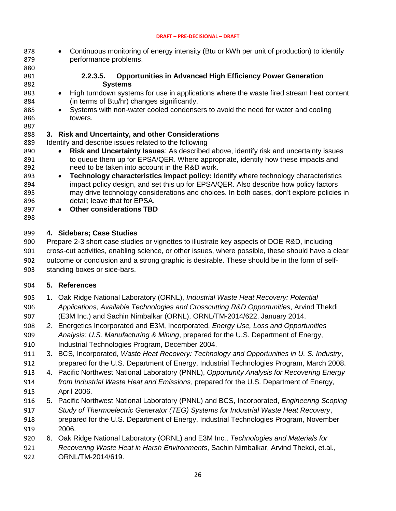878 • Continuous monitoring of energy intensity (Btu or kWh per unit of production) to identify performance problems.

### 

### **2.2.3.5. Opportunities in Advanced High Efficiency Power Generation Systems**

- 883 High turndown systems for use in applications where the waste fired stream heat content (in terms of Btu/hr) changes significantly.
- 885 Systems with non-water cooled condensers to avoid the need for water and cooling towers.

### <span id="page-25-0"></span>**3. Risk and Uncertainty, and other Considerations**

889 Identify and describe issues related to the following

- **Risk and Uncertainty Issues**: As described above, identify risk and uncertainty issues 891 to queue them up for EPSA/QER. Where appropriate, identify how these impacts and need to be taken into account in the R&D work.
- **Technology characteristics impact policy:** Identify where technology characteristics 894 impact policy design, and set this up for EPSA/QER. Also describe how policy factors may drive technology considerations and choices. In both cases, don't explore policies in detail; leave that for EPSA.
- **Other considerations TBD**
- 

### <span id="page-25-1"></span>**4. Sidebars; Case Studies**

 Prepare 2-3 short case studies or vignettes to illustrate key aspects of DOE R&D, including cross-cut activities, enabling science, or other issues, where possible, these should have a clear outcome or conclusion and a strong graphic is desirable. These should be in the form of self-standing boxes or side-bars.

### <span id="page-25-2"></span>**5. References**

- 1. Oak Ridge National Laboratory (ORNL), *Industrial Waste Heat Recovery: Potential Applications, Available Technologies and Crosscutting R&D Opportunities*, Arvind Thekdi (E3M Inc.) and Sachin Nimbalkar (ORNL), ORNL/TM-2014/622, January 2014.
- *2.* Energetics Incorporated and E3M, Incorporated, *Energy Use, Loss and Opportunities Analysis: U.S. Manufacturing & Mining*, prepared for the U.S. Department of Energy, Industrial Technologies Program, December 2004.
- 3. BCS, Incorporated, *Waste Heat Recovery: Technology and Opportunities in U. S. Industry*, prepared for the U.S. Department of Energy, Industrial Technologies Program, March 2008.
- 4. Pacific Northwest National Laboratory (PNNL), *Opportunity Analysis for Recovering Energy from Industrial Waste Heat and Emissions*, prepared for the U.S. Department of Energy, April 2006.
- 5. Pacific Northwest National Laboratory (PNNL) and BCS, Incorporated, *Engineering Scoping Study of Thermoelectric Generator (TEG) Systems for Industrial Waste Heat Recovery*, prepared for the U.S. Department of Energy, Industrial Technologies Program, November 2006.
- 6. Oak Ridge National Laboratory (ORNL) and E3M Inc., *Technologies and Materials for Recovering Waste Heat in Harsh Environments*, Sachin Nimbalkar, Arvind Thekdi, et.al., ORNL/TM-2014/619.